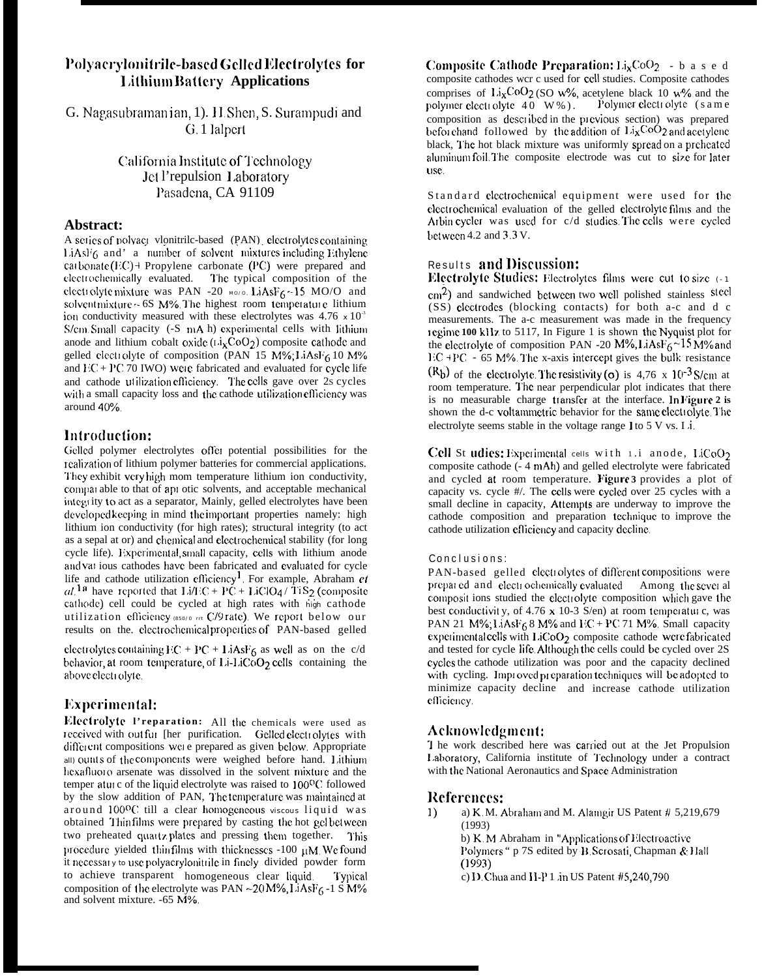# Polyacrylonitrile-based Gelled Electrolytes for **Lithium Battery Applications**

G. Nagasubramanian, 1). H. Shen, S. Surampudi and G. 1 lalpert

> California Institute of Technology Jet l'repulsion Laboratory Pasadena, CA 91109

#### Abstract:

A seties of polyact vlonitrile-based (PAN) electrolytes containing LiAsl'6 and' a number of solvent mixtures including Ethylene carbonate  $(EC)$  + Propylene carbonate (PC) were prepared and electrochemically evaluated. The typical composition of the electrolyte mixture was PAN -20  $_{\text{M0/0}}$ , LiAsF<sub>6</sub> ~15 MO/O and solvent mixture ~ 6S M%. The highest room temperature lithium ion conductivity measured with these electrolytes was  $4.76 \times 10^{-3}$ S/cm Small capacity (-S mA h) experimental cells with lithium anode and lithium cobalt oxide  $(i \lambda_X \text{CoO}_2)$  composite cathode and gelled electrolyte of composition (PAN 15 M%; LiAsF6 10 M% and  $EC + PC$  70 IWO) were fabricated and evaluated for cycle life and cathode utilization efficiency. The cells gave over 2s cycles with a small capacity loss and the cathode utilization efficiency was around 40%.

# Introduction:

Gelled polymer electrolytes offer potential possibilities for the realization of lithium polymer batteries for commercial applications. They exhibit very high mom temperature lithium ion conductivity, comparable to that of api otic solvents, and acceptable mechanical integrity to act as a separator, Mainly, gelled electrolytes have been developed keeping in mind the important properties namely: high lithium ion conductivity (for high rates); structural integrity (to act as a sepal at or) and chemical and electrochemical stability (for long cycle life). Experimental, small capacity, cells with lithium anode and var ious cathodes have been fabricated and evaluated for cycle life and cathode utilization efficiency<sup>1</sup>. For example, Abraham et al.<sup>1a</sup> have reported that  $Li/EC + PC + LiClO4 / 11S_2$  (composite cathode) cell could be cycled at high rates with high cathode utilization efficiency (850/0 rm C/9 rate). We report below our results on the electrochemical properties of PAN-based gelled

electrolytes containing  $EC + PC + I$  *iAsF*<sub>6</sub> as well as on the c/d behavior, at room temperature, of Li-LiCoO2 cells containing the above electrolyte.

# Experimental:

Electrolyte l'reparation: All the chemicals were used as received with out fur [her purification. Gelled electrolytes with different compositions were prepared as given below. Appropriate all) ounts of the components were weighed before hand. Lithium hexafluoro arsenate was dissolved in the solvent mixture and the temper aturc of the liquid electrolyte was raised to 100°C followed by the slow addition of PAN, The temperature was maintained at around 100°C till a clear homogeneous viscous liquid was obtained Thin films were prepared by casting the hot gelbetween two preheated quartz plates and pressing them together. This procedure yielded thinfilms with thicknesses -100 µM Wefound it necessary to use polyacrylonitrile in finely divided powder form to achieve transparent homogeneous clear liquid. Typical composition of the electrolyte was PAN ~20 M%,  $LiAsF<sub>6</sub>$ -1 S M% and solvent mixture. -65 M%.

Composite Cathode Preparation:  $Li<sub>x</sub>CoO<sub>2</sub> - b$  a s e d composite cathodes wcr c used for cell studies. Composite cathodes comprises of  $Li<sub>x</sub>CoO<sub>2</sub>$  (SO w%, acetylene black 10 w% and the polymer electrolyte  $40 W$ %). Polymer electrolyte (same composition as described in the previous section) was prepared beforehand followed by the addition of  $Li<sub>x</sub>CoO<sub>2</sub>$  and acetylene black, The hot black mixture was uniformly spread on a preheated aluminum foil The composite electrode was cut to size for later use.

Standard electrochemical equipment were used for the electrochemical evaluation of the gelled electrolyte films and the Arbin cycler was used for c/d studies. The cells were cycled between 4.2 and 3.3 V.

# Results and Discussion:

Electrolyte Studies: Electrolytes films were cut to size (-1) cm<sup>2</sup>) and sandwiched between two well polished stainless steel (SS) electrodes (blocking contacts) for both a-c and d c measurements. The a-c measurement was made in the frequency regime 100 kHz to 5117, In Figure 1 is shown the Nyquist plot for the electrolyte of composition PAN -20  $M\%$ , LiAsF<sub>6</sub>~15M% and  $\text{EC} + \text{PC} - 65$  M%. The x-axis intercept gives the bulk resistance  $(R_b)$  of the electrolyte. The resistivity (o) is 4.76 x 10<sup>-3</sup> S/cm at room temperature. The near perpendicular plot indicates that there is no measurable charge transfer at the interface. In Figure 2 is shown the d-c voltammetric behavior for the same electrolyte. The electrolyte seems stable in the voltage range 1 to 5 V vs. I i.

Cell St udies: Experimental cells with 1.1 anode,  $LiCoO<sub>2</sub>$ composite cathode (- 4 mAh) and gelled electrolyte were fabricated and cycled at room temperature. Figure 3 provides a plot of capacity vs. cycle #/. The cells were cycled over 25 cycles with a small decline in capacity, Attempts are underway to improve the cathode composition and preparation technique to improve the cathode utilization efficiency and capacity decline.

#### Conclusions:

PAN-based gelled electrolytes of different compositions were prepared and electrochemically evaluated Among the sever al composit ions studied the electrolyte composition which gave the best conductivity, of 4.76  $x$  10-3 S/en) at room temperature, was PAN 21 M%; LiAsF<sub>6</sub> 8 M% and FC + PC 71 M%. Small capacity experimental cells with LiCoO<sub>2</sub> composite cathode were fabricated and tested for cycle life Although the cells could be cycled over 2S cycles the cathode utilization was poor and the capacity declined with cycling. Improved preparation techniques will be adopted to minimize capacity decline and increase cathode utilization efficiency.

### Acknowledgment:

I he work described here was carried out at the Jet Propulsion Laboratory, California institute of Technology under a contract with the National Aeronautics and Space Administration

### References:

- $1)$ a) K. M. Abraham and M. Alamgir US Patent # 5,219,679  $(1993)$ b) K.M Abraham in "Applications of Electroactive Polymers " p 7S edited by B Scrosati, Chapman & Hall  $(1993)$ 
	- c) I) Chua and II-P 1 in US Patent  $#5,240,790$